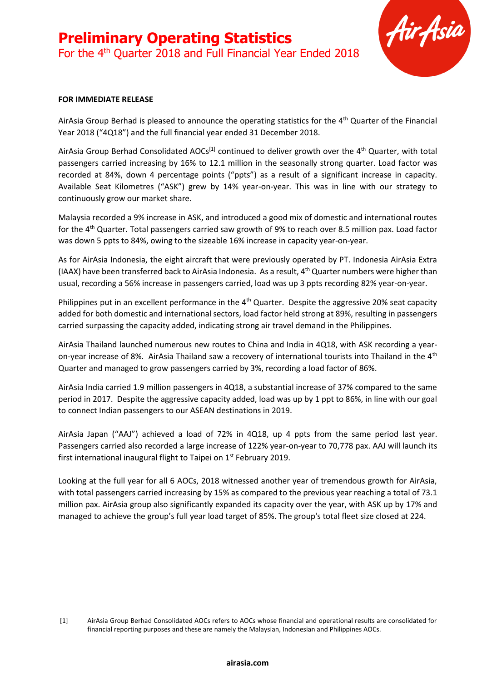### **Preliminary Operating Statistics** For the 4<sup>th</sup> Quarter 2018 and Full Financial Year Ended 2018



#### **FOR IMMEDIATE RELEASE**

AirAsia Group Berhad is pleased to announce the operating statistics for the 4<sup>th</sup> Quarter of the Financial Year 2018 ("4Q18") and the full financial year ended 31 December 2018.

AirAsia Group Berhad Consolidated AOCs<sup>[1]</sup> continued to deliver growth over the 4<sup>th</sup> Quarter, with total passengers carried increasing by 16% to 12.1 million in the seasonally strong quarter. Load factor was recorded at 84%, down 4 percentage points ("ppts") as a result of a significant increase in capacity. Available Seat Kilometres ("ASK") grew by 14% year-on-year. This was in line with our strategy to continuously grow our market share.

Malaysia recorded a 9% increase in ASK, and introduced a good mix of domestic and international routes for the 4th Quarter. Total passengers carried saw growth of 9% to reach over 8.5 million pax. Load factor was down 5 ppts to 84%, owing to the sizeable 16% increase in capacity year-on-year.

As for AirAsia Indonesia, the eight aircraft that were previously operated by PT. Indonesia AirAsia Extra (IAAX) have been transferred back to AirAsia Indonesia. As a result, 4th Quarter numbers were higher than usual, recording a 56% increase in passengers carried, load was up 3 ppts recording 82% year-on-year.

Philippines put in an excellent performance in the 4<sup>th</sup> Quarter. Despite the aggressive 20% seat capacity added for both domestic and international sectors, load factor held strong at 89%, resulting in passengers carried surpassing the capacity added, indicating strong air travel demand in the Philippines.

AirAsia Thailand launched numerous new routes to China and India in 4Q18, with ASK recording a yearon-year increase of 8%. AirAsia Thailand saw a recovery of international tourists into Thailand in the 4<sup>th</sup> Quarter and managed to grow passengers carried by 3%, recording a load factor of 86%.

AirAsia India carried 1.9 million passengers in 4Q18, a substantial increase of 37% compared to the same period in 2017. Despite the aggressive capacity added, load was up by 1 ppt to 86%, in line with our goal to connect Indian passengers to our ASEAN destinations in 2019.

AirAsia Japan ("AAJ") achieved a load of 72% in 4Q18, up 4 ppts from the same period last year. Passengers carried also recorded a large increase of 122% year-on-year to 70,778 pax. AAJ will launch its first international inaugural flight to Taipei on  $1<sup>st</sup>$  February 2019.

Looking at the full year for all 6 AOCs, 2018 witnessed another year of tremendous growth for AirAsia, with total passengers carried increasing by 15% as compared to the previous year reaching a total of 73.1 million pax. AirAsia group also significantly expanded its capacity over the year, with ASK up by 17% and managed to achieve the group's full year load target of 85%. The group's total fleet size closed at 224.

<sup>[1]</sup> AirAsia Group Berhad Consolidated AOCs refers to AOCs whose financial and operational results are consolidated for financial reporting purposes and these are namely the Malaysian, Indonesian and Philippines AOCs.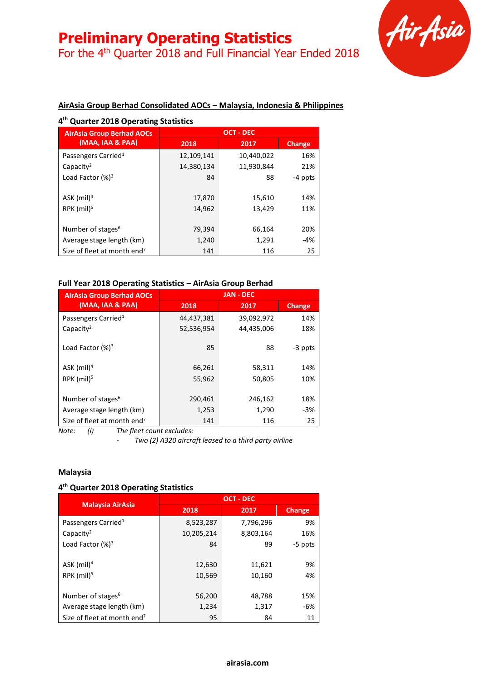For the 4th Quarter 2018 and Full Financial Year Ended 2018



### **AirAsia Group Berhad Consolidated AOCs – Malaysia, Indonesia & Philippines**

#### **4 th Quarter 2018 Operating Statistics**

| <b>AirAsia Group Berhad AOCs</b>        |            | <b>OCT - DEC</b> |               |
|-----------------------------------------|------------|------------------|---------------|
| (MAA, IAA & PAA)                        | 2018       | 2017             | <b>Change</b> |
| Passengers Carried <sup>1</sup>         | 12,109,141 | 10,440,022       | 16%           |
| Capacity <sup>2</sup>                   | 14,380,134 | 11,930,844       | 21%           |
| Load Factor $(%)^3$                     | 84         | 88               | -4 ppts       |
|                                         |            |                  |               |
| ASK $(mil)^4$                           | 17,870     | 15,610           | 14%           |
| RPK (mil) <sup>5</sup>                  | 14,962     | 13,429           | 11%           |
|                                         |            |                  |               |
| Number of stages <sup>6</sup>           | 79,394     | 66,164           | 20%           |
| Average stage length (km)               | 1,240      | 1,291            | -4%           |
| Size of fleet at month end <sup>7</sup> | 141        | 116              | 25            |

#### **Full Year 2018 Operating Statistics – AirAsia Group Berhad**

| <b>AirAsia Group Berhad AOCs</b>        | <b>JAN - DEC</b> |            |         |
|-----------------------------------------|------------------|------------|---------|
| (MAA, IAA & PAA)                        | 2018             | 2017       | Change  |
| Passengers Carried <sup>1</sup>         | 44,437,381       | 39,092,972 | 14%     |
| Capacity <sup>2</sup>                   | 52,536,954       | 44,435,006 | 18%     |
| Load Factor $(%)^3$                     | 85               | 88         | -3 ppts |
| ASK $(mil)^4$                           | 66,261           | 58,311     | 14%     |
| $RPK$ (mil) <sup>5</sup>                | 55,962           | 50,805     | 10%     |
|                                         |                  |            |         |
| Number of stages <sup>6</sup>           | 290,461          | 246,162    | 18%     |
| Average stage length (km)               | 1,253            | 1,290      | -3%     |
| Size of fleet at month end <sup>7</sup> | 141              | 116        | 25      |

*Note: (i) The fleet count excludes:*

*- Two (2) A320 aircraft leased to a third party airline*

#### **Malaysia**

#### **4 th Quarter 2018 Operating Statistics**

|                                         | <b>OCT - DEC</b> |           |         |
|-----------------------------------------|------------------|-----------|---------|
| <b>Malaysia AirAsia</b>                 | 2018             | 2017      | Change  |
| Passengers Carried <sup>1</sup>         | 8,523,287        | 7,796,296 | 9%      |
| Capacity <sup>2</sup>                   | 10,205,214       | 8,803,164 | 16%     |
| Load Factor $(%)^3$                     | 84               | 89        | -5 ppts |
|                                         |                  |           |         |
| ASK $(mil)^4$                           | 12,630           | 11,621    | 9%      |
| RPK $(mil)^5$                           | 10,569           | 10,160    | 4%      |
|                                         |                  |           |         |
| Number of stages <sup>6</sup>           | 56,200           | 48,788    | 15%     |
| Average stage length (km)               | 1,234            | 1,317     | -6%     |
| Size of fleet at month end <sup>7</sup> | 95               | 84        | 11      |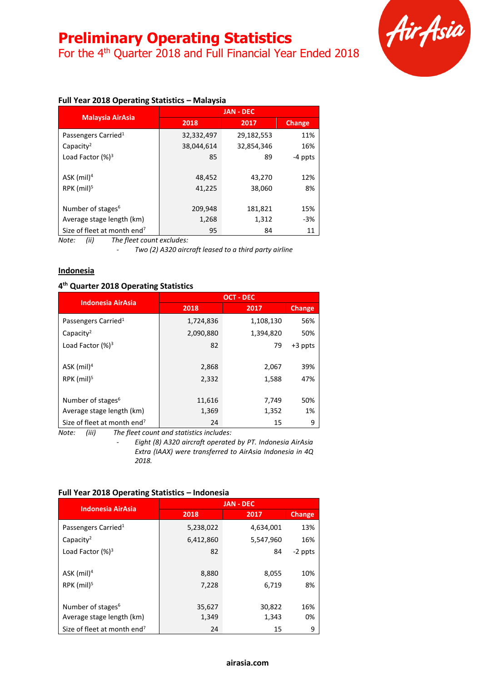For the 4th Quarter 2018 and Full Financial Year Ended 2018



### **Full Year 2018 Operating Statistics – Malaysia**

|                                         |            | <b>JAN - DEC</b> |               |
|-----------------------------------------|------------|------------------|---------------|
| <b>Malaysia AirAsia</b>                 | 2018       | 2017             | <b>Change</b> |
| Passengers Carried <sup>1</sup>         | 32,332,497 | 29,182,553       | 11%           |
| Capacity <sup>2</sup>                   | 38,044,614 | 32,854,346       | 16%           |
| Load Factor $(%)^3$                     | 85         | 89               | -4 ppts       |
|                                         |            |                  |               |
| ASK $(mil)^4$                           | 48,452     | 43,270           | 12%           |
| RPK $(mil)^5$                           | 41,225     | 38,060           | 8%            |
|                                         |            |                  |               |
| Number of stages <sup>6</sup>           | 209,948    | 181,821          | 15%           |
| Average stage length (km)               | 1,268      | 1,312            | $-3%$         |
| Size of fleet at month end <sup>7</sup> | 95         | 84               | 11            |

*Note: (ii) The fleet count excludes:*

*- Two (2) A320 aircraft leased to a third party airline*

#### **Indonesia**

#### **4 th Quarter 2018 Operating Statistics**

|                                         |           | <b>OCT - DEC</b> |               |
|-----------------------------------------|-----------|------------------|---------------|
| <b>Indonesia AirAsia</b>                | 2018      | 2017             | <b>Change</b> |
| Passengers Carried <sup>1</sup>         | 1,724,836 | 1,108,130        | 56%           |
| Capacity <sup>2</sup>                   | 2,090,880 | 1,394,820        | 50%           |
| Load Factor $(%)^3$                     | 82        | 79               | $+3$ ppts     |
|                                         |           |                  |               |
| ASK $(mil)^4$                           | 2,868     | 2,067            | 39%           |
| $RPK$ (mil) <sup>5</sup>                | 2,332     | 1,588            | 47%           |
|                                         |           |                  |               |
| Number of stages <sup>6</sup>           | 11,616    | 7,749            | 50%           |
| Average stage length (km)               | 1,369     | 1,352            | 1%            |
| Size of fleet at month end <sup>7</sup> | 24        | 15               | 9             |

*Note: (iii) The fleet count and statistics includes:*

*- Eight (8) A320 aircraft operated by PT. Indonesia AirAsia Extra (IAAX) were transferred to AirAsia Indonesia in 4Q 2018.*

| Full Year 2018 Operating Statistics - Indonesia |  |  |  |
|-------------------------------------------------|--|--|--|
|-------------------------------------------------|--|--|--|

| <b>Indonesia AirAsia</b>                | <b>JAN - DEC</b> |           |               |
|-----------------------------------------|------------------|-----------|---------------|
|                                         | 2018             | 2017      | <b>Change</b> |
| Passengers Carried <sup>1</sup>         | 5,238,022        | 4,634,001 | 13%           |
| Capacity <sup>2</sup>                   | 6,412,860        | 5,547,960 | 16%           |
| Load Factor $(%)^3$                     | 82               | 84        | -2 ppts       |
|                                         |                  |           |               |
| $ASK$ (mil) <sup>4</sup>                | 8,880            | 8,055     | 10%           |
| RPK (mil) <sup>5</sup>                  | 7,228            | 6,719     | 8%            |
|                                         |                  |           |               |
| Number of stages <sup>6</sup>           | 35,627           | 30,822    | 16%           |
| Average stage length (km)               | 1,349            | 1,343     | 0%            |
| Size of fleet at month end <sup>7</sup> | 24               | 15        | 9             |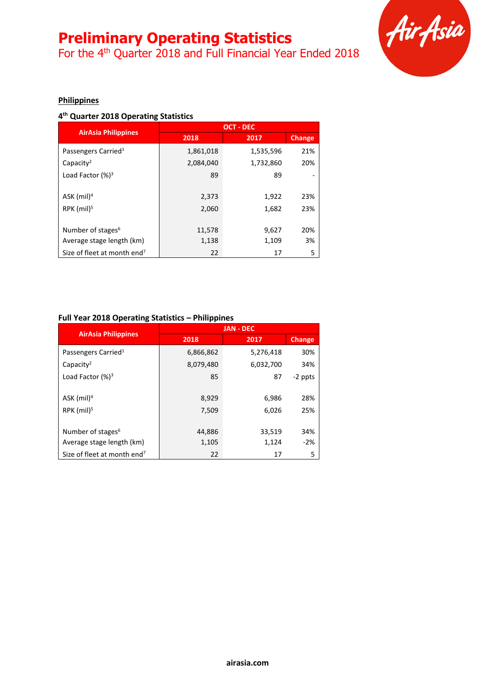For the 4<sup>th</sup> Quarter 2018 and Full Financial Year Ended 2018



#### **Philippines**

#### **4 th Quarter 2018 Operating Statistics**

|                                         | <b>OCT - DEC</b> |           |               |
|-----------------------------------------|------------------|-----------|---------------|
| <b>AirAsia Philippines</b>              | 2018             | 2017      | <b>Change</b> |
| Passengers Carried <sup>1</sup>         | 1,861,018        | 1,535,596 | 21%           |
| Capacity <sup>2</sup>                   | 2,084,040        | 1,732,860 | 20%           |
| Load Factor $(%)^3$                     | 89               | 89        |               |
|                                         |                  |           |               |
| ASK $(mil)^4$                           | 2,373            | 1,922     | 23%           |
| $RPK$ (mil) <sup>5</sup>                | 2,060            | 1,682     | 23%           |
|                                         |                  |           |               |
| Number of stages <sup>6</sup>           | 11,578           | 9,627     | 20%           |
| Average stage length (km)               | 1,138            | 1,109     | 3%            |
| Size of fleet at month end <sup>7</sup> | 22               | 17        | 5             |

### **Full Year 2018 Operating Statistics – Philippines**

|                                         |           | <b>JAN - DEC</b> |               |
|-----------------------------------------|-----------|------------------|---------------|
| <b>AirAsia Philippines</b>              | 2018      | 2017             | <b>Change</b> |
| Passengers Carried <sup>1</sup>         | 6,866,862 | 5,276,418        | 30%           |
| Capacity <sup>2</sup>                   | 8,079,480 | 6,032,700        | 34%           |
| Load Factor $(%)^3$                     | 85        | 87               | -2 ppts       |
|                                         |           |                  |               |
| $ASK$ (mil) <sup>4</sup>                | 8,929     | 6,986            | 28%           |
| $RPK$ (mil) <sup>5</sup>                | 7,509     | 6,026            | 25%           |
|                                         |           |                  |               |
| Number of stages <sup>6</sup>           | 44,886    | 33,519           | 34%           |
| Average stage length (km)               | 1,105     | 1,124            | $-2%$         |
| Size of fleet at month end <sup>7</sup> | 22        | 17               | 5             |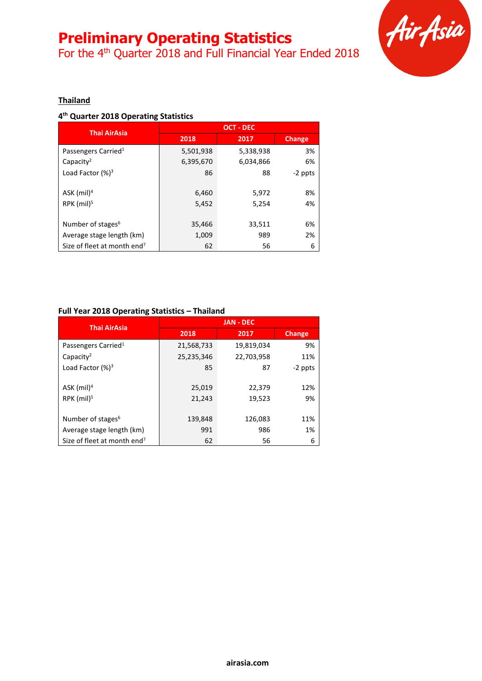For the 4<sup>th</sup> Quarter 2018 and Full Financial Year Ended 2018



#### **Thailand**

#### **4 th Quarter 2018 Operating Statistics**

| <b>Thai AirAsia</b>                     |           | <b>OCT - DEC</b> |         |
|-----------------------------------------|-----------|------------------|---------|
|                                         | 2018      | 2017             | Change  |
| Passengers Carried <sup>1</sup>         | 5,501,938 | 5,338,938        | 3%      |
| Capacity <sup>2</sup>                   | 6,395,670 | 6,034,866        | 6%      |
| Load Factor $(%)^3$                     | 86        | 88               | -2 ppts |
|                                         |           |                  |         |
| ASK $(mil)^4$                           | 6,460     | 5,972            | 8%      |
| $RPK$ (mil) <sup>5</sup>                | 5,452     | 5,254            | 4%      |
|                                         |           |                  |         |
| Number of stages <sup>6</sup>           | 35,466    | 33,511           | 6%      |
| Average stage length (km)               | 1,009     | 989              | 2%      |
| Size of fleet at month end <sup>7</sup> | 62        | 56               | 6       |

#### **Full Year 2018 Operating Statistics – Thailand**

| <b>Thai AirAsia</b>                     | <b>JAN - DEC</b> |            |               |
|-----------------------------------------|------------------|------------|---------------|
|                                         | 2018             | 2017       | <b>Change</b> |
| Passengers Carried <sup>1</sup>         | 21,568,733       | 19,819,034 | 9%            |
| Capacity <sup>2</sup>                   | 25,235,346       | 22,703,958 | 11%           |
| Load Factor $(%)^3$                     | 85               | 87         | -2 ppts       |
|                                         |                  |            |               |
| ASK $(mil)^4$                           | 25,019           | 22,379     | 12%           |
| $RPK$ (mil) <sup>5</sup>                | 21,243           | 19,523     | 9%            |
|                                         |                  |            |               |
| Number of stages <sup>6</sup>           | 139,848          | 126,083    | 11%           |
| Average stage length (km)               | 991              | 986        | 1%            |
| Size of fleet at month end <sup>7</sup> | 62               | 56         | 6             |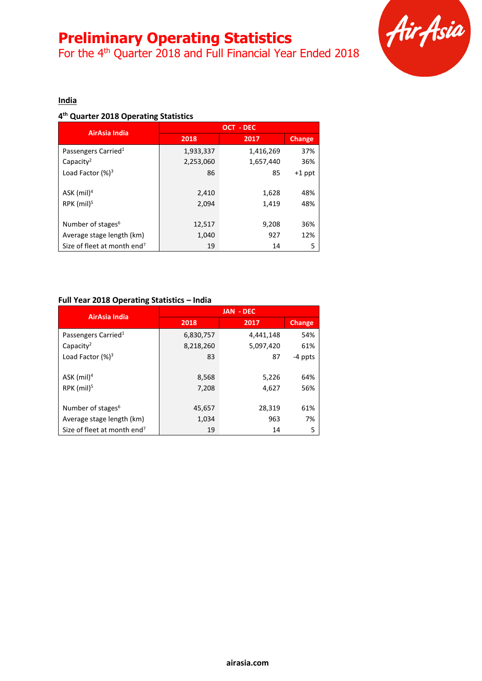For the 4<sup>th</sup> Quarter 2018 and Full Financial Year Ended 2018



#### **India**

#### **4 th Quarter 2018 Operating Statistics**

| AirAsia India                           |           | OCT - DEC |               |
|-----------------------------------------|-----------|-----------|---------------|
|                                         | 2018      | 2017      | <b>Change</b> |
| Passengers Carried <sup>1</sup>         | 1,933,337 | 1,416,269 | 37%           |
| Capacity <sup>2</sup>                   | 2,253,060 | 1,657,440 | 36%           |
| Load Factor $(%)^3$                     | 86        | 85        | $+1$ ppt      |
|                                         |           |           |               |
| ASK (mil) <sup>4</sup>                  | 2,410     | 1,628     | 48%           |
| $RPK$ (mil) <sup>5</sup>                | 2,094     | 1,419     | 48%           |
|                                         |           |           |               |
| Number of stages <sup>6</sup>           | 12,517    | 9,208     | 36%           |
| Average stage length (km)               | 1,040     | 927       | 12%           |
| Size of fleet at month end <sup>7</sup> | 19        | 14        | 5             |

#### **Full Year 2018 Operating Statistics – India**

| AirAsia India                           | <b>JAN - DEC</b> |           |         |
|-----------------------------------------|------------------|-----------|---------|
|                                         | 2018             | 2017      | Change  |
| Passengers Carried <sup>1</sup>         | 6,830,757        | 4,441,148 | 54%     |
| Capacity <sup>2</sup>                   | 8,218,260        | 5,097,420 | 61%     |
| Load Factor $(%)^3$                     | 83               | 87        | -4 ppts |
|                                         |                  |           |         |
| ASK $(mil)^4$                           | 8,568            | 5,226     | 64%     |
| RPK $(mil)^5$                           | 7,208            | 4,627     | 56%     |
|                                         |                  |           |         |
| Number of stages <sup>6</sup>           | 45,657           | 28,319    | 61%     |
| Average stage length (km)               | 1,034            | 963       | 7%      |
| Size of fleet at month end <sup>7</sup> | 19               | 14        | 5       |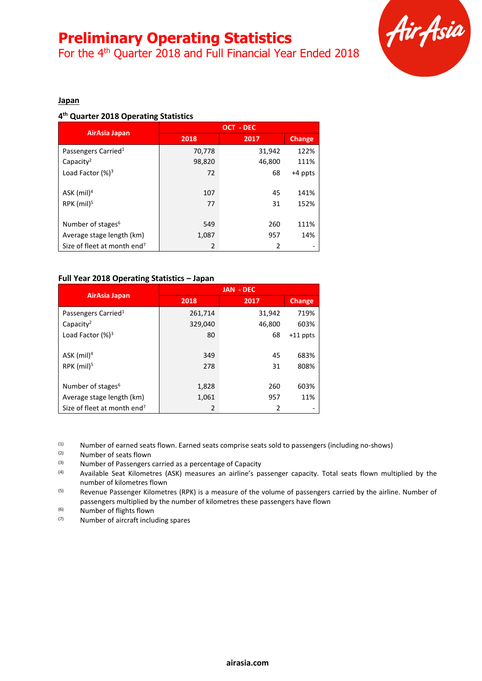For the 4th Quarter 2018 and Full Financial Year Ended 2018



#### **Japan**

### **4 th Quarter 2018 Operating Statistics**

| AirAsia Japan                           | <b>OCT - DEC</b> |        |                          |
|-----------------------------------------|------------------|--------|--------------------------|
|                                         | 2018             | 2017   | Change                   |
| Passengers Carried <sup>1</sup>         | 70,778           | 31,942 | 122%                     |
| Capacity <sup>2</sup>                   | 98,820           | 46,800 | 111%                     |
| Load Factor $(%)^3$                     | 72               | 68     | +4 ppts                  |
|                                         |                  |        |                          |
| ASK (mil) <sup>4</sup>                  | 107              | 45     | 141%                     |
| RPK (mil) <sup>5</sup>                  | 77               | 31     | 152%                     |
|                                         |                  |        |                          |
| Number of stages <sup>6</sup>           | 549              | 260    | 111%                     |
| Average stage length (km)               | 1,087            | 957    | 14%                      |
| Size of fleet at month end <sup>7</sup> | 2                | 2      | $\overline{\phantom{a}}$ |

#### **Full Year 2018 Operating Statistics – Japan**

| AirAsia Japan                           | <b>JAN - DEC</b> |               |               |
|-----------------------------------------|------------------|---------------|---------------|
|                                         | 2018             | 2017          | <b>Change</b> |
| Passengers Carried <sup>1</sup>         | 261,714          | 31,942        | 719%          |
| Capacity <sup>2</sup>                   | 329,040          | 46,800        | 603%          |
| Load Factor $(%)^3$                     | 80               | 68            | $+11$ ppts    |
|                                         |                  |               |               |
| ASK $(mil)^4$                           | 349              | 45            | 683%          |
| RPK $(mil)^5$                           | 278              | 31            | 808%          |
|                                         |                  |               |               |
| Number of stages <sup>6</sup>           | 1,828            | 260           | 603%          |
| Average stage length (km)               | 1,061            | 957           | 11%           |
| Size of fleet at month end <sup>7</sup> | $\overline{2}$   | $\mathcal{P}$ |               |

 $(1)$  Number of earned seats flown. Earned seats comprise seats sold to passengers (including no-shows)

- $(2)$  Number of seats flown<br> $(3)$  Number of Passengers
- (3)  $\mu$  Number of Passengers carried as a percentage of Capacity<br>(4)  $\mu$  Available Seat Kilometres (ASK) measures an airline's pa
- (4) Available Seat Kilometres (ASK) measures an airline's passenger capacity. Total seats flown multiplied by the number of kilometres flown
- (5) Revenue Passenger Kilometres (RPK) is a measure of the volume of passengers carried by the airline. Number of passengers multiplied by the number of kilometres these passengers have flown
- (6) Number of flights flown
- (7) Number of aircraft including spares